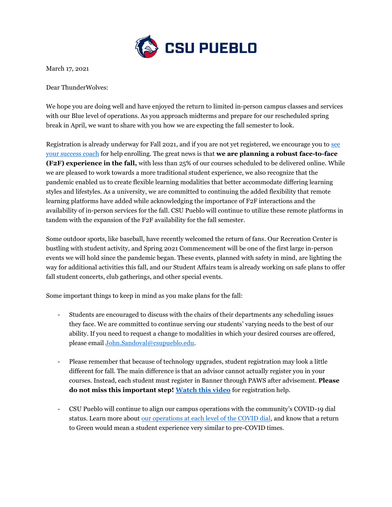

March 17, 2021

Dear ThunderWolves:

We hope you are doing well and have enjoyed the return to limited in-person campus classes and services with our Blue level of operations. As you approach midterms and prepare for our rescheduled spring break in April, we want to share with you how we are expecting the fall semester to look.

Registration is already underway for Fall 2021, and if you are not yet registered, we encourage you to see [your success coach](https://www.csupueblo.edu/pack-center/academic-success-coaching.html) for help enrolling. The great news is that **we are planning a robust face-to-face (F2F) experience in the fall,** with less than 25% of our courses scheduled to be delivered online. While we are pleased to work towards a more traditional student experience, we also recognize that the pandemic enabled us to create flexible learning modalities that better accommodate differing learning styles and lifestyles. As a university, we are committed to continuing the added flexibility that remote learning platforms have added while acknowledging the importance of F2F interactions and the availability of in-person services for the fall. CSU Pueblo will continue to utilize these remote platforms in tandem with the expansion of the F2F availability for the fall semester.

Some outdoor sports, like baseball, have recently welcomed the return of fans. Our Recreation Center is bustling with student activity, and Spring 2021 Commencement will be one of the first large in-person events we will hold since the pandemic began. These events, planned with safety in mind, are lighting the way for additional activities this fall, and our Student Affairs team is already working on safe plans to offer fall student concerts, club gatherings, and other special events.

Some important things to keep in mind as you make plans for the fall:

- Students are encouraged to discuss with the chairs of their departments any scheduling issues they face. We are committed to continue serving our students' varying needs to the best of our ability. If you need to request a change to modalities in which your desired courses are offered, please email [John.Sandoval@csupueblo.edu.](mailto:John.Sandoval@csupueblo.edu)
- Please remember that because of technology upgrades, student registration may look a little different for fall. The main difference is that an advisor cannot actually register you in your courses. Instead, each student must register in Banner through PAWS after advisement. **Please do not miss this important step! [Watch this video](https://www.youtube.com/watch?v=IQeBTXXPVYU&t=2s)** for registration help.
- CSU Pueblo will continue to align our campus operations with the community's COVID-19 dial status. Learn more about [our operations at each level of the COVID dial,](https://www.csupueblo.edu/coronavirus/index.html) and know that a return to Green would mean a student experience very similar to pre-COVID times.